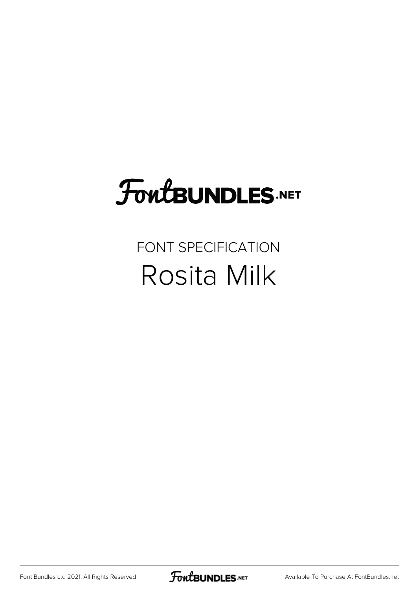# FoutBUNDLES.NET

## FONT SPECIFICATION Rosita Milk

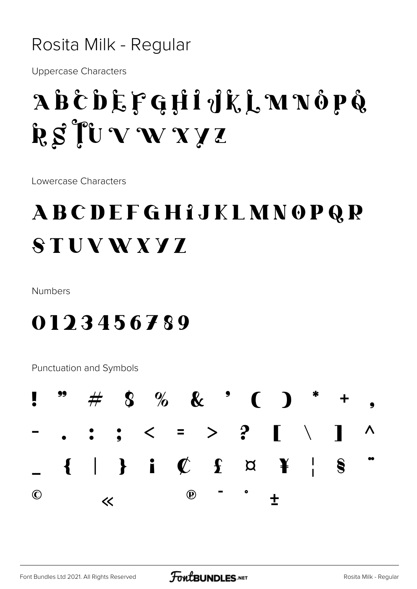#### Rosita Milk - Regular

**Uppercase Characters** 

# ABCDEFGHI JKL MNOPQ  $R S \overset{\circ}{\sim} V \overset{\circ}{\sim} V \overset{\circ}{\sim} S.$

Lowercase Characters

## **ABCDEFGHIJKLMNOPQR STUVWXYZ**

**Numbers** 

### 0123456789

**Punctuation and Symbols** 

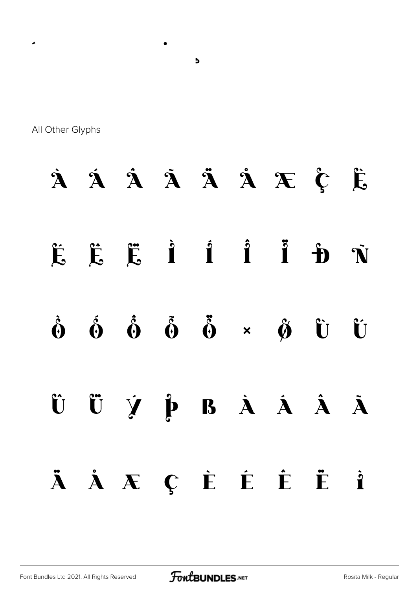All Other Glyphs



 $\overline{a}$ 

FontBUNDLES.NET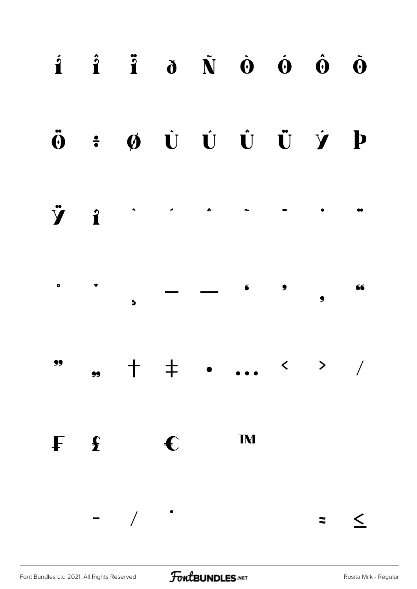|              |              |   | $\dot{\mathbf{i}}$ $\dot{\mathbf{i}}$ $\ddot{\mathbf{i}}$ $\dot{\mathbf{o}}$ $\ddot{\mathbf{N}}$ $\dot{\mathbf{\Theta}}$ $\dot{\mathbf{\Theta}}$ $\dot{\mathbf{\Theta}}$ $\ddot{\mathbf{\Theta}}$ |                             |  |
|--------------|--------------|---|---------------------------------------------------------------------------------------------------------------------------------------------------------------------------------------------------|-----------------------------|--|
|              |              |   | $\ddot{\mathbf{0}}$ $\vdots$ $\boldsymbol{\emptyset}$ $\dot{\mathbf{U}}$ $\dot{\mathbf{U}}$ $\ddot{\mathbf{U}}$ $\ddot{\mathbf{U}}$ $\dot{\mathbf{V}}$ $\mathbf{P}$                               |                             |  |
|              |              |   |                                                                                                                                                                                                   |                             |  |
|              |              |   |                                                                                                                                                                                                   |                             |  |
| 99           | 99           |   | $+$ $+$ $\cdot$ $\cdot$ $\cdot$                                                                                                                                                                   | $\leftarrow$ > $\leftarrow$ |  |
| $\mathbf{F}$ | $\mathbf{f}$ | € | <b>IN</b>                                                                                                                                                                                         |                             |  |
|              |              |   |                                                                                                                                                                                                   | $\overline{\phantom{a}}$    |  |